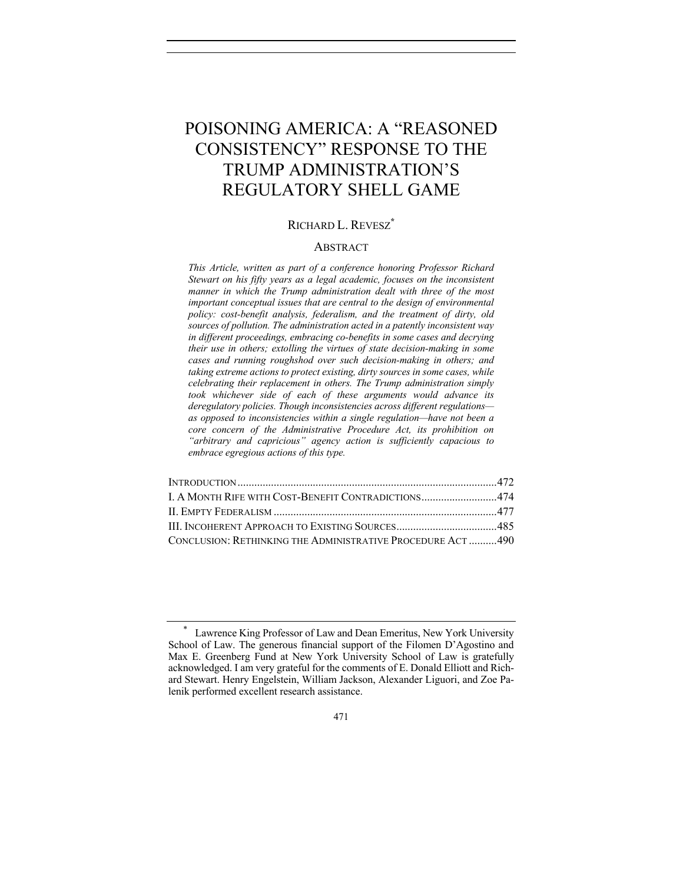# POISONING AMERICA: A "REASONED CONSISTENCY" RESPONSE TO THE TRUMP ADMINISTRATION'S REGULATORY SHELL GAME

# RICHARD L. REVESZ**\***

#### ABSTRACT

*This Article, written as part of a conference honoring Professor Richard Stewart on his fifty years as a legal academic, focuses on the inconsistent manner in which the Trump administration dealt with three of the most important conceptual issues that are central to the design of environmental policy: cost-benefit analysis, federalism, and the treatment of dirty, old sources of pollution. The administration acted in a patently inconsistent way in different proceedings, embracing co-benefits in some cases and decrying their use in others; extolling the virtues of state decision-making in some cases and running roughshod over such decision-making in others; and taking extreme actions to protect existing, dirty sources in some cases, while celebrating their replacement in others. The Trump administration simply took whichever side of each of these arguments would advance its deregulatory policies. Though inconsistencies across different regulations as opposed to inconsistencies within a single regulation—have not been a core concern of the Administrative Procedure Act, its prohibition on "arbitrary and capricious" agency action is sufficiently capacious to embrace egregious actions of this type.*

| I. A MONTH RIFE WITH COST-BENEFIT CONTRADICTIONS474        |  |
|------------------------------------------------------------|--|
|                                                            |  |
|                                                            |  |
| CONCLUSION: RETHINKING THE ADMINISTRATIVE PROCEDURE ACT490 |  |

Lawrence King Professor of Law and Dean Emeritus, New York University School of Law. The generous financial support of the Filomen D'Agostino and Max E. Greenberg Fund at New York University School of Law is gratefully acknowledged. I am very grateful for the comments of E. Donald Elliott and Richard Stewart. Henry Engelstein, William Jackson, Alexander Liguori, and Zoe Palenik performed excellent research assistance.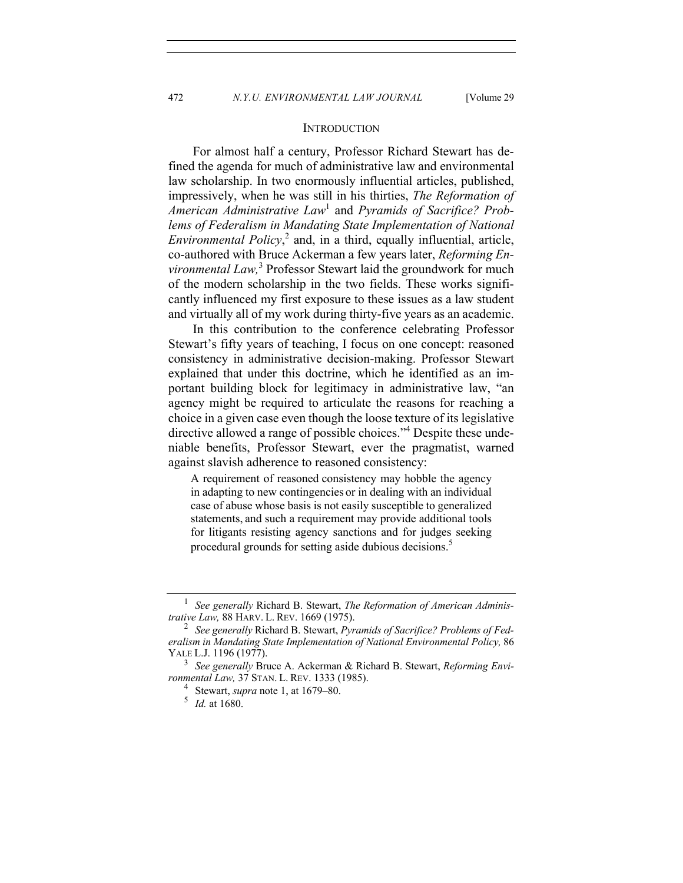## **INTRODUCTION**

For almost half a century, Professor Richard Stewart has defined the agenda for much of administrative law and environmental law scholarship. In two enormously influential articles, published, impressively, when he was still in his thirties, *The Reformation of American Administrative Law*<sup>1</sup> and *Pyramids of Sacrifice? Problems of Federalism in Mandating State Implementation of National Environmental Policy*, <sup>2</sup> and, in a third, equally influential, article, co-authored with Bruce Ackerman a few years later, *Reforming Environmental Law,*<sup>3</sup> Professor Stewart laid the groundwork for much of the modern scholarship in the two fields. These works significantly influenced my first exposure to these issues as a law student and virtually all of my work during thirty-five years as an academic.

In this contribution to the conference celebrating Professor Stewart's fifty years of teaching, I focus on one concept: reasoned consistency in administrative decision-making. Professor Stewart explained that under this doctrine, which he identified as an important building block for legitimacy in administrative law, "an agency might be required to articulate the reasons for reaching a choice in a given case even though the loose texture of its legislative directive allowed a range of possible choices."<sup>4</sup> Despite these undeniable benefits, Professor Stewart, ever the pragmatist, warned against slavish adherence to reasoned consistency:

A requirement of reasoned consistency may hobble the agency in adapting to new contingencies or in dealing with an individual case of abuse whose basis is not easily susceptible to generalized statements, and such a requirement may provide additional tools for litigants resisting agency sanctions and for judges seeking procedural grounds for setting aside dubious decisions.<sup>5</sup>

<sup>1</sup> *See generally* Richard B. Stewart, *The Reformation of American Administrative Law,* 88 HARV. L. REV. 1669 (1975).

<sup>2</sup> *See generally* Richard B. Stewart, *Pyramids of Sacrifice? Problems of Federalism in Mandating State Implementation of National Environmental Policy,* 86 YALE L.J. 1196 (1977).

<sup>3</sup> *See generally* Bruce A. Ackerman & Richard B. Stewart, *Reforming Environmental Law,* 37 STAN. L. REV. 1333 (1985).

<sup>4</sup> Stewart, *supra* note 1, at 1679–80.

<sup>5</sup> *Id.* at 1680.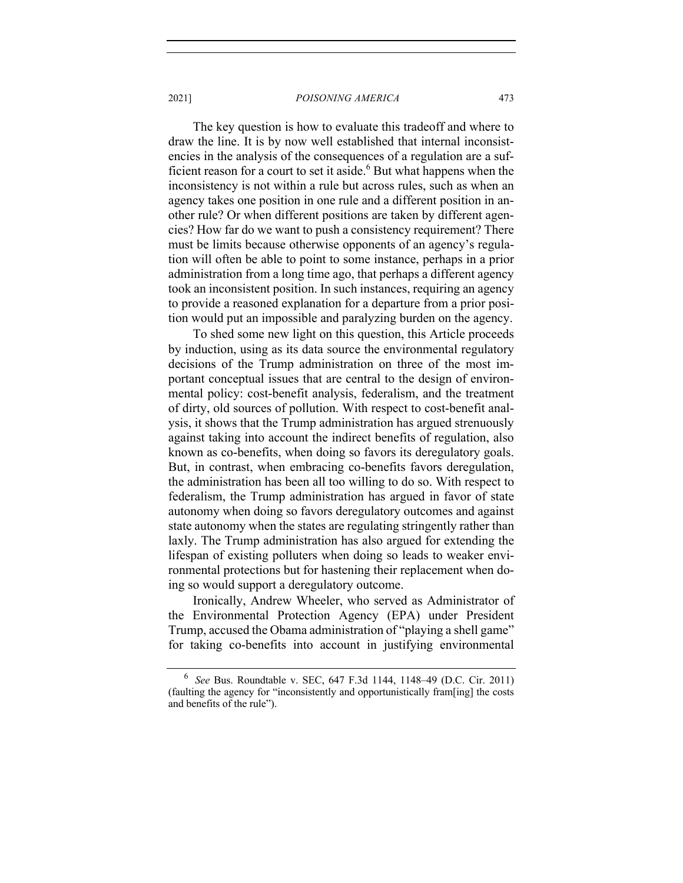The key question is how to evaluate this tradeoff and where to draw the line. It is by now well established that internal inconsistencies in the analysis of the consequences of a regulation are a sufficient reason for a court to set it aside.<sup>6</sup> But what happens when the inconsistency is not within a rule but across rules, such as when an agency takes one position in one rule and a different position in another rule? Or when different positions are taken by different agencies? How far do we want to push a consistency requirement? There must be limits because otherwise opponents of an agency's regulation will often be able to point to some instance, perhaps in a prior administration from a long time ago, that perhaps a different agency took an inconsistent position. In such instances, requiring an agency to provide a reasoned explanation for a departure from a prior position would put an impossible and paralyzing burden on the agency.

To shed some new light on this question, this Article proceeds by induction, using as its data source the environmental regulatory decisions of the Trump administration on three of the most important conceptual issues that are central to the design of environmental policy: cost-benefit analysis, federalism, and the treatment of dirty, old sources of pollution. With respect to cost-benefit analysis, it shows that the Trump administration has argued strenuously against taking into account the indirect benefits of regulation, also known as co-benefits, when doing so favors its deregulatory goals. But, in contrast, when embracing co-benefits favors deregulation, the administration has been all too willing to do so. With respect to federalism, the Trump administration has argued in favor of state autonomy when doing so favors deregulatory outcomes and against state autonomy when the states are regulating stringently rather than laxly. The Trump administration has also argued for extending the lifespan of existing polluters when doing so leads to weaker environmental protections but for hastening their replacement when doing so would support a deregulatory outcome.

Ironically, Andrew Wheeler, who served as Administrator of the Environmental Protection Agency (EPA) under President Trump, accused the Obama administration of "playing a shell game" for taking co-benefits into account in justifying environmental

<sup>6</sup> *See* Bus. Roundtable v. SEC, 647 F.3d 1144, 1148–49 (D.C. Cir. 2011) (faulting the agency for "inconsistently and opportunistically fram[ing] the costs and benefits of the rule").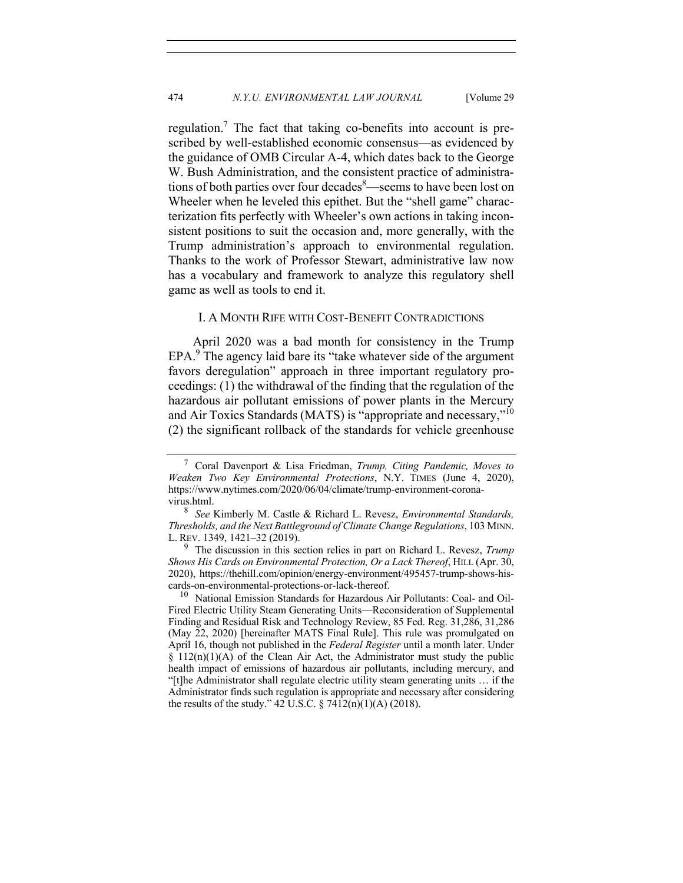regulation.<sup>7</sup> The fact that taking co-benefits into account is prescribed by well-established economic consensus—as evidenced by the guidance of OMB Circular A-4, which dates back to the George W. Bush Administration, and the consistent practice of administrations of both parties over four decades <sup>8</sup>—seems to have been lost on Wheeler when he leveled this epithet. But the "shell game" characterization fits perfectly with Wheeler's own actions in taking inconsistent positions to suit the occasion and, more generally, with the Trump administration's approach to environmental regulation. Thanks to the work of Professor Stewart, administrative law now has a vocabulary and framework to analyze this regulatory shell game as well as tools to end it.

## I. A MONTH RIFE WITH COST-BENEFIT CONTRADICTIONS

April 2020 was a bad month for consistency in the Trump  $EPA.<sup>9</sup>$  The agency laid bare its "take whatever side of the argument favors deregulation" approach in three important regulatory proceedings: (1) the withdrawal of the finding that the regulation of the hazardous air pollutant emissions of power plants in the Mercury and Air Toxics Standards (MATS) is "appropriate and necessary,"<sup>10</sup> (2) the significant rollback of the standards for vehicle greenhouse

<sup>7</sup> Coral Davenport & Lisa Friedman, *Trump, Citing Pandemic, Moves to Weaken Two Key Environmental Protections*, N.Y. TIMES (June 4, 2020), https://www.nytimes.com/2020/06/04/climate/trump-environment-coronavirus.html.

<sup>8</sup> *See* Kimberly M. Castle & Richard L. Revesz, *Environmental Standards, Thresholds, and the Next Battleground of Climate Change Regulations*, 103 MINN. L. REV. 1349, 1421–32 (2019).

<sup>9</sup> The discussion in this section relies in part on Richard L. Revesz, *Trump Shows His Cards on Environmental Protection, Or a Lack Thereof*, HILL (Apr. 30, 2020), https://thehill.com/opinion/energy-environment/495457-trump-shows-hiscards-on-environmental-protections-or-lack-thereof.

<sup>&</sup>lt;sup>10</sup> National Emission Standards for Hazardous Air Pollutants: Coal- and Oil-Fired Electric Utility Steam Generating Units—Reconsideration of Supplemental Finding and Residual Risk and Technology Review, 85 Fed. Reg. 31,286, 31,286 (May 22, 2020) [hereinafter MATS Final Rule]. This rule was promulgated on April 16, though not published in the *Federal Register* until a month later. Under  $§$  112(n)(1)(A) of the Clean Air Act, the Administrator must study the public health impact of emissions of hazardous air pollutants, including mercury, and "[t]he Administrator shall regulate electric utility steam generating units … if the Administrator finds such regulation is appropriate and necessary after considering the results of the study." 42 U.S.C.  $\S$  7412(n)(1)(A) (2018).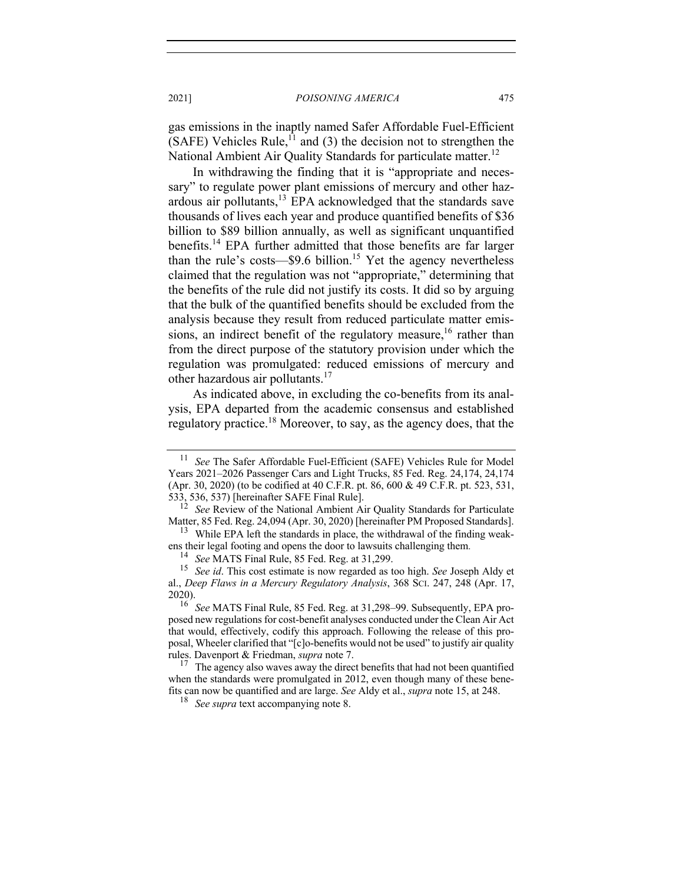gas emissions in the inaptly named Safer Affordable Fuel-Efficient (SAFE) Vehicles Rule,<sup>11</sup> and (3) the decision not to strengthen the National Ambient Air Quality Standards for particulate matter.<sup>12</sup>

In withdrawing the finding that it is "appropriate and necessary" to regulate power plant emissions of mercury and other hazardous air pollutants,13 EPA acknowledged that the standards save thousands of lives each year and produce quantified benefits of \$36 billion to \$89 billion annually, as well as significant unquantified benefits.<sup>14</sup> EPA further admitted that those benefits are far larger than the rule's costs— $$9.6$  billion.<sup>15</sup> Yet the agency nevertheless claimed that the regulation was not "appropriate," determining that the benefits of the rule did not justify its costs. It did so by arguing that the bulk of the quantified benefits should be excluded from the analysis because they result from reduced particulate matter emissions, an indirect benefit of the regulatory measure,  $16$  rather than from the direct purpose of the statutory provision under which the regulation was promulgated: reduced emissions of mercury and other hazardous air pollutants.<sup>17</sup>

As indicated above, in excluding the co-benefits from its analysis, EPA departed from the academic consensus and established regulatory practice.<sup>18</sup> Moreover, to say, as the agency does, that the

<sup>&</sup>lt;sup>11</sup> *See* The Safer Affordable Fuel-Efficient (SAFE) Vehicles Rule for Model Years 2021–2026 Passenger Cars and Light Trucks, 85 Fed. Reg. 24,174, 24,174 (Apr. 30, 2020) (to be codified at 40 C.F.R. pt. 86, 600 & 49 C.F.R. pt. 523, 531, 533, 536, 537) [hereinafter SAFE Final Rule].

<sup>&</sup>lt;sup>12</sup> *See* Review of the National Ambient Air Quality Standards for Particulate Matter, 85 Fed. Reg. 24,094 (Apr. 30, 2020) [hereinafter PM Proposed Standards].

<sup>&</sup>lt;sup>13</sup> While EPA left the standards in place, the withdrawal of the finding weakens their legal footing and opens the door to lawsuits challenging them.<br><sup>14</sup> *See* MATS Final Rule, 85 Fed. Reg. at 31,299.<br><sup>15</sup> *See id* This cost estimate is now regarded as too high *See* Josen

<sup>15</sup> *See id*. This cost estimate is now regarded as too high. *See* Joseph Aldy et al., *Deep Flaws in a Mercury Regulatory Analysis*, 368 SCI. 247, 248 (Apr. 17, 2020).

<sup>16</sup> *See* MATS Final Rule, 85 Fed. Reg. at 31,298–99. Subsequently, EPA proposed new regulations for cost-benefit analyses conducted under the Clean Air Act that would, effectively, codify this approach. Following the release of this proposal, Wheeler clarified that "[c]o-benefits would not be used" to justify air quality

rules. Davenport & Friedman, *supra* note 7.<br><sup>17</sup> The agency also waves away the direct benefits that had not been quantified when the standards were promulgated in 2012, even though many of these benefits can now be quantified and are large. *See* Aldy et al., *supra* note 15, at 248.

<sup>18</sup> *See supra* text accompanying note 8.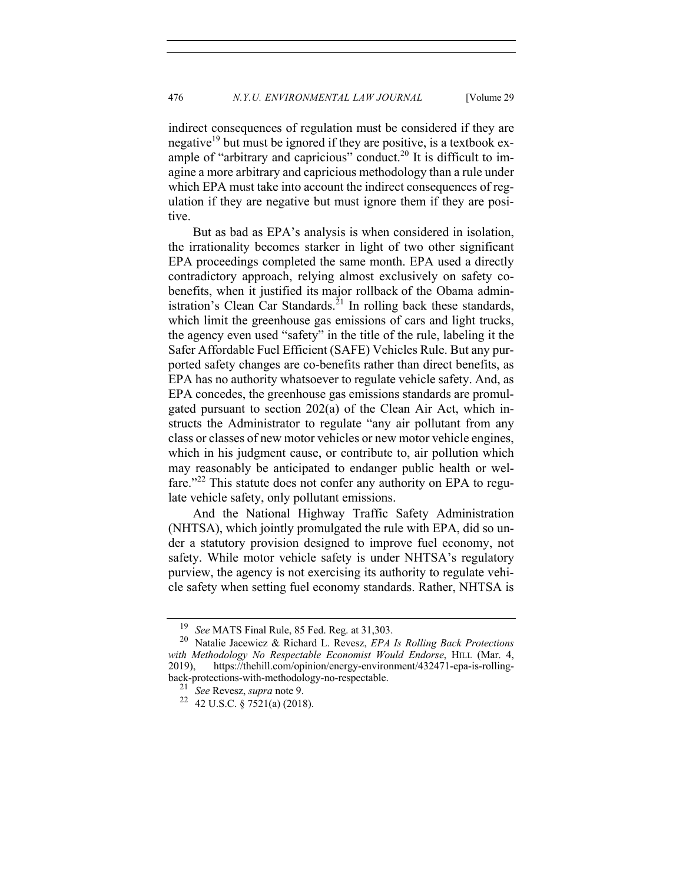indirect consequences of regulation must be considered if they are negative<sup>19</sup> but must be ignored if they are positive, is a textbook example of "arbitrary and capricious" conduct.<sup>20</sup> It is difficult to imagine a more arbitrary and capricious methodology than a rule under which EPA must take into account the indirect consequences of regulation if they are negative but must ignore them if they are positive.

But as bad as EPA's analysis is when considered in isolation, the irrationality becomes starker in light of two other significant EPA proceedings completed the same month. EPA used a directly contradictory approach, relying almost exclusively on safety cobenefits, when it justified its major rollback of the Obama administration's Clean Car Standards.<sup>21</sup> In rolling back these standards, which limit the greenhouse gas emissions of cars and light trucks, the agency even used "safety" in the title of the rule, labeling it the Safer Affordable Fuel Efficient (SAFE) Vehicles Rule. But any purported safety changes are co-benefits rather than direct benefits, as EPA has no authority whatsoever to regulate vehicle safety. And, as EPA concedes, the greenhouse gas emissions standards are promulgated pursuant to section 202(a) of the Clean Air Act, which instructs the Administrator to regulate "any air pollutant from any class or classes of new motor vehicles or new motor vehicle engines, which in his judgment cause, or contribute to, air pollution which may reasonably be anticipated to endanger public health or welfare."<sup>22</sup> This statute does not confer any authority on EPA to regulate vehicle safety, only pollutant emissions.

And the National Highway Traffic Safety Administration (NHTSA), which jointly promulgated the rule with EPA, did so under a statutory provision designed to improve fuel economy, not safety. While motor vehicle safety is under NHTSA's regulatory purview, the agency is not exercising its authority to regulate vehicle safety when setting fuel economy standards. Rather, NHTSA is

<sup>&</sup>lt;sup>19</sup> *See* MATS Final Rule, 85 Fed. Reg. at 31,303.<br><sup>20</sup> Natalie Jacewicz & Richard L. Revesz *FPA* 

<sup>20</sup> Natalie Jacewicz & Richard L. Revesz, *EPA Is Rolling Back Protections with Methodology No Respectable Economist Would Endorse*, HILL (Mar. 4, 2019), https://thehill.com/opinion/energy-environment/432471-epa-is-rollingback-protections-with-methodology-no-respectable.

<sup>21</sup> *See* Revesz, *supra* note 9.

<sup>22</sup> 42 U.S.C. § 7521(a) (2018).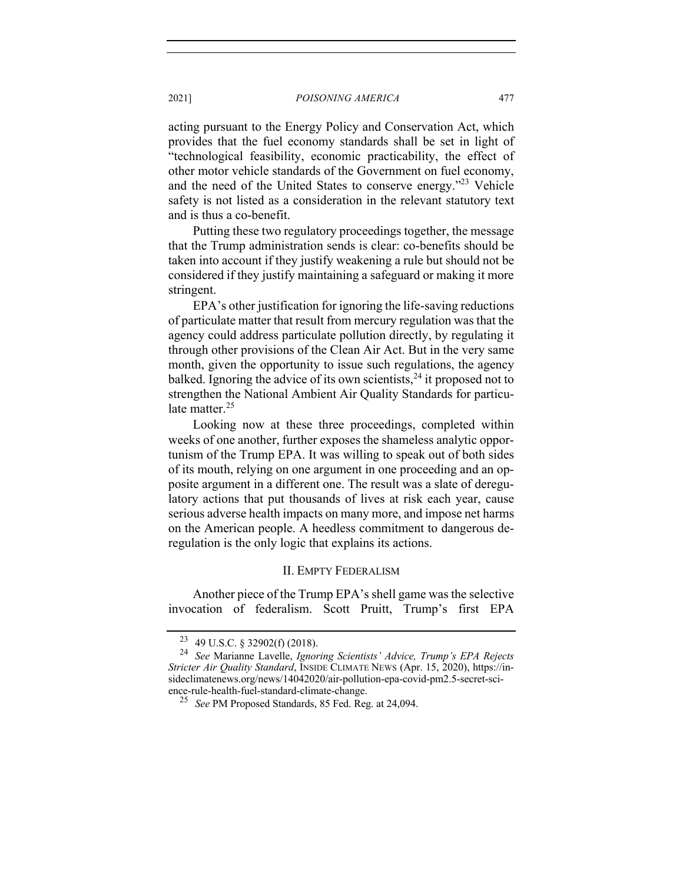acting pursuant to the Energy Policy and Conservation Act, which provides that the fuel economy standards shall be set in light of "technological feasibility, economic practicability, the effect of other motor vehicle standards of the Government on fuel economy, and the need of the United States to conserve energy."23 Vehicle safety is not listed as a consideration in the relevant statutory text and is thus a co-benefit.

Putting these two regulatory proceedings together, the message that the Trump administration sends is clear: co-benefits should be taken into account if they justify weakening a rule but should not be considered if they justify maintaining a safeguard or making it more stringent.

EPA's other justification for ignoring the life-saving reductions of particulate matter that result from mercury regulation was that the agency could address particulate pollution directly, by regulating it through other provisions of the Clean Air Act. But in the very same month, given the opportunity to issue such regulations, the agency balked. Ignoring the advice of its own scientists,  $24$  it proposed not to strengthen the National Ambient Air Quality Standards for particulate matter.<sup>25</sup>

Looking now at these three proceedings, completed within weeks of one another, further exposes the shameless analytic opportunism of the Trump EPA. It was willing to speak out of both sides of its mouth, relying on one argument in one proceeding and an opposite argument in a different one. The result was a slate of deregulatory actions that put thousands of lives at risk each year, cause serious adverse health impacts on many more, and impose net harms on the American people. A heedless commitment to dangerous deregulation is the only logic that explains its actions.

# II. EMPTY FEDERALISM

Another piece of the Trump EPA's shell game was the selective invocation of federalism. Scott Pruitt, Trump's first EPA

<sup>23</sup> 49 U.S.C. § 32902(f) (2018).

<sup>24</sup> *See* Marianne Lavelle, *Ignoring Scientists' Advice, Trump's EPA Rejects Stricter Air Quality Standard*, INSIDE CLIMATE NEWS (Apr. 15, 2020), https://insideclimatenews.org/news/14042020/air-pollution-epa-covid-pm2.5-secret-science-rule-health-fuel-standard-climate-change.

<sup>25</sup> *See* PM Proposed Standards, 85 Fed. Reg. at 24,094.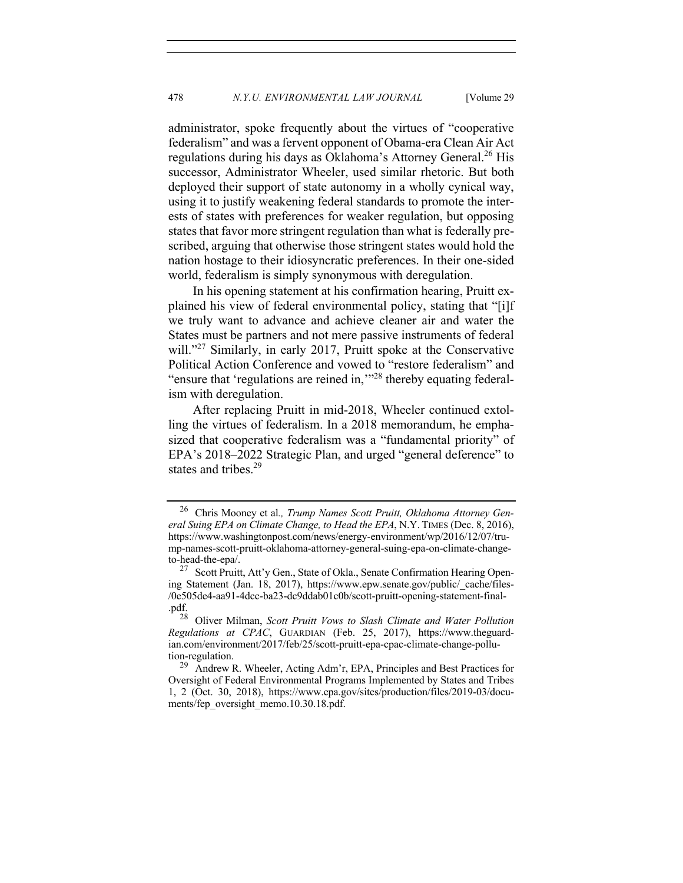administrator, spoke frequently about the virtues of "cooperative federalism" and was a fervent opponent of Obama-era Clean Air Act regulations during his days as Oklahoma's Attorney General.<sup>26</sup> His successor, Administrator Wheeler, used similar rhetoric. But both deployed their support of state autonomy in a wholly cynical way, using it to justify weakening federal standards to promote the interests of states with preferences for weaker regulation, but opposing states that favor more stringent regulation than what is federally prescribed, arguing that otherwise those stringent states would hold the nation hostage to their idiosyncratic preferences. In their one-sided world, federalism is simply synonymous with deregulation.

In his opening statement at his confirmation hearing, Pruitt explained his view of federal environmental policy, stating that "[i]f we truly want to advance and achieve cleaner air and water the States must be partners and not mere passive instruments of federal will."<sup>27</sup> Similarly, in early 2017, Pruitt spoke at the Conservative Political Action Conference and vowed to "restore federalism" and "ensure that 'regulations are reined in,"<sup>28</sup> thereby equating federalism with deregulation.

After replacing Pruitt in mid-2018, Wheeler continued extolling the virtues of federalism. In a 2018 memorandum, he emphasized that cooperative federalism was a "fundamental priority" of EPA's 2018–2022 Strategic Plan, and urged "general deference" to states and tribes.<sup>29</sup>

<sup>26</sup> Chris Mooney et al*., Trump Names Scott Pruitt, Oklahoma Attorney General Suing EPA on Climate Change, to Head the EPA*, N.Y. TIMES (Dec. 8, 2016), https://www.washingtonpost.com/news/energy-environment/wp/2016/12/07/trump-names-scott-pruitt-oklahoma-attorney-general-suing-epa-on-climate-changeto-head-the-epa/.<br><sup>27</sup> Scott Pruitt, Att'y Gen., State of Okla., Senate Confirmation Hearing Open-

ing Statement (Jan. 18, 2017), https://www.epw.senate.gov/public/\_cache/files- /0e505de4-aa91-4dcc-ba23-dc9ddab01c0b/scott-pruitt-opening-statement-final- .pdf.  $_{28}^{\text{p}}$ 

<sup>28</sup> Oliver Milman, *Scott Pruitt Vows to Slash Climate and Water Pollution Regulations at CPAC*, GUARDIAN (Feb. 25, 2017), https://www.theguardian.com/environment/2017/feb/25/scott-pruitt-epa-cpac-climate-change-pollution-regulation.<br><sup>29</sup> Andrew R. Wheeler, Acting Adm'r, EPA, Principles and Best Practices for

Oversight of Federal Environmental Programs Implemented by States and Tribes 1, 2 (Oct. 30, 2018), https://www.epa.gov/sites/production/files/2019-03/documents/fep\_oversight\_memo.10.30.18.pdf.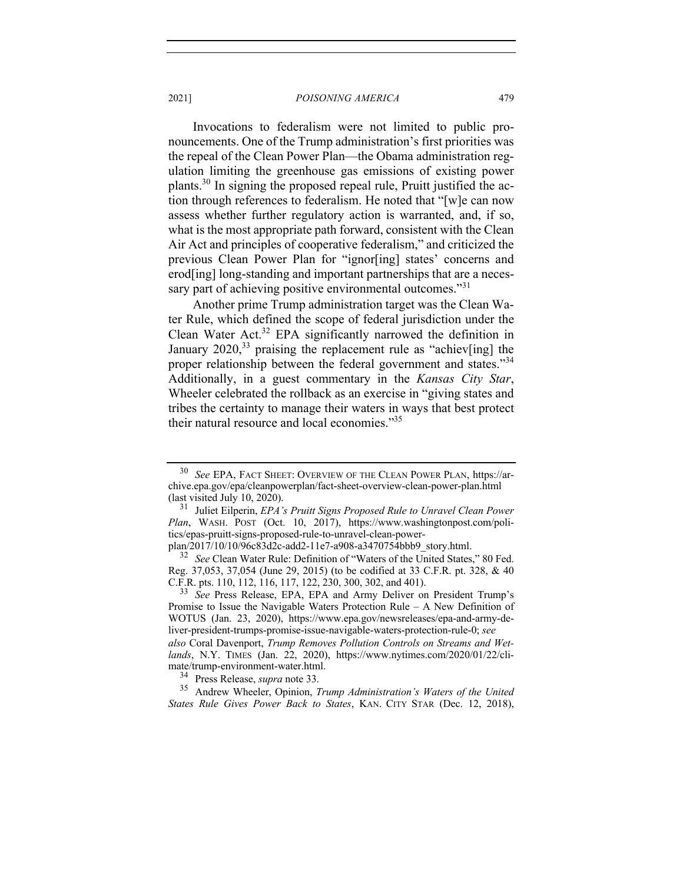Invocations to federalism were not limited to public pronouncements. One of the Trump administration's first priorities was the repeal of the Clean Power Plan—the Obama administration regulation limiting the greenhouse gas emissions of existing power plants.<sup>30</sup> In signing the proposed repeal rule, Pruitt justified the action through references to federalism. He noted that "[w]e can now assess whether further regulatory action is warranted, and, if so, what is the most appropriate path forward, consistent with the Clean Air Act and principles of cooperative federalism," and criticized the previous Clean Power Plan for "ignor[ing] states' concerns and erod[ing] long-standing and important partnerships that are a necessary part of achieving positive environmental outcomes."31

Another prime Trump administration target was the Clean Water Rule, which defined the scope of federal jurisdiction under the Clean Water Act.<sup>32</sup> EPA significantly narrowed the definition in January  $2020<sup>33</sup>$  praising the replacement rule as "achiev[ing] the proper relationship between the federal government and states."34 Additionally, in a guest commentary in the *Kansas City Star*, Wheeler celebrated the rollback as an exercise in "giving states and tribes the certainty to manage their waters in ways that best protect their natural resource and local economies."35

<sup>30</sup> *See* EPA, FACT SHEET: OVERVIEW OF THE CLEAN POWER PLAN, https://archive.epa.gov/epa/cleanpowerplan/fact-sheet-overview-clean-power-plan.html (last visited July 10, 2020).

<sup>31</sup> Juliet Eilperin, *EPA's Pruitt Signs Proposed Rule to Unravel Clean Power Plan*, WASH. POST (Oct. 10, 2017), https://www.washingtonpost.com/politics/epas-pruitt-signs-proposed-rule-to-unravel-clean-power-<br>plan/2017/10/10/96c83d2c-add2-11e7-a908-a3470754bbb9\_story.html.

<sup>&</sup>lt;sup>32</sup> See Clean Water Rule: Definition of "Waters of the United States," 80 Fed. Reg. 37,053, 37,054 (June 29, 2015) (to be codified at 33 C.F.R. pt. 328, & 40 C.F.R. pts. 110, 112, 116, 117, 122, 230, 300, 302, and 401).

<sup>&</sup>lt;sup>33</sup> See Press Release, EPA, EPA and Army Deliver on President Trump's Promise to Issue the Navigable Waters Protection Rule – A New Definition of WOTUS (Jan. 23, 2020), https://www.epa.gov/newsreleases/epa-and-army-deliver-president-trumps-promise-issue-navigable-waters-protection-rule-0; *see also* Coral Davenport, *Trump Removes Pollution Controls on Streams and Wetlands*, N.Y. TIMES (Jan. 22, 2020), https://www.nytimes.com/2020/01/22/climate/trump-environment-water.html.

<sup>&</sup>lt;sup>34</sup> Press Release, *supra* note 33.<br><sup>35</sup> Andrew Wheeler Opinion 7

<sup>35</sup> Andrew Wheeler, Opinion, *Trump Administration's Waters of the United States Rule Gives Power Back to States*, KAN. CITY STAR (Dec. 12, 2018),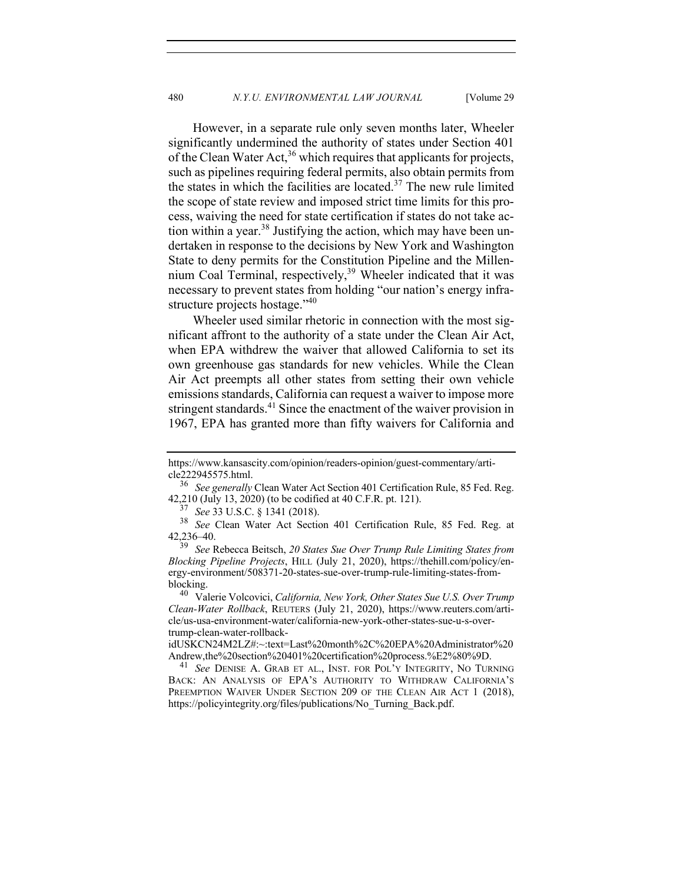However, in a separate rule only seven months later, Wheeler significantly undermined the authority of states under Section 401 of the Clean Water Act,  $36$  which requires that applicants for projects, such as pipelines requiring federal permits, also obtain permits from the states in which the facilities are located.<sup>37</sup> The new rule limited the scope of state review and imposed strict time limits for this process, waiving the need for state certification if states do not take action within a year.<sup>38</sup> Justifying the action, which may have been undertaken in response to the decisions by New York and Washington State to deny permits for the Constitution Pipeline and the Millennium Coal Terminal, respectively, $39$  Wheeler indicated that it was necessary to prevent states from holding "our nation's energy infrastructure projects hostage."<sup>40</sup>

Wheeler used similar rhetoric in connection with the most significant affront to the authority of a state under the Clean Air Act, when EPA withdrew the waiver that allowed California to set its own greenhouse gas standards for new vehicles. While the Clean Air Act preempts all other states from setting their own vehicle emissions standards, California can request a waiver to impose more stringent standards.<sup>41</sup> Since the enactment of the waiver provision in 1967, EPA has granted more than fifty waivers for California and

<sup>37</sup> *See* 33 U.S.C. § 1341 (2018).

https://www.kansascity.com/opinion/readers-opinion/guest-commentary/arti-

cle222945575.html. 36 *See generally* Clean Water Act Section 401 Certification Rule, 85 Fed. Reg. 42,210 (July 13, 2020) (to be codified at 40 C.F.R. pt. 121).

<sup>38</sup> *See* Clean Water Act Section 401 Certification Rule, 85 Fed. Reg. at 42,236–40.

<sup>39</sup> *See* Rebecca Beitsch, *20 States Sue Over Trump Rule Limiting States from Blocking Pipeline Projects*, HILL (July 21, 2020), https://thehill.com/policy/energy-environment/508371-20-states-sue-over-trump-rule-limiting-states-fromblocking. <sup>40</sup> Valerie Volcovici, *California, New York, Other States Sue U.S. Over Trump* 

*Clean-Water Rollback*, REUTERS (July 21, 2020), https://www.reuters.com/article/us-usa-environment-water/california-new-york-other-states-sue-u-s-overtrump-clean-water-rollback-

idUSKCN24M2LZ#:~:text=Last%20month%2C%20EPA%20Administrator%20 Andrew,the%20section%20401%20certification%20process.%E2%80%9D. 41 *See* DENISE A. GRAB ET AL., INST. FOR POL'Y INTEGRITY, NO TURNING

BACK: AN ANALYSIS OF EPA'S AUTHORITY TO WITHDRAW CALIFORNIA'S PREEMPTION WAIVER UNDER SECTION 209 OF THE CLEAN AIR ACT 1 (2018), https://policyintegrity.org/files/publications/No\_Turning\_Back.pdf.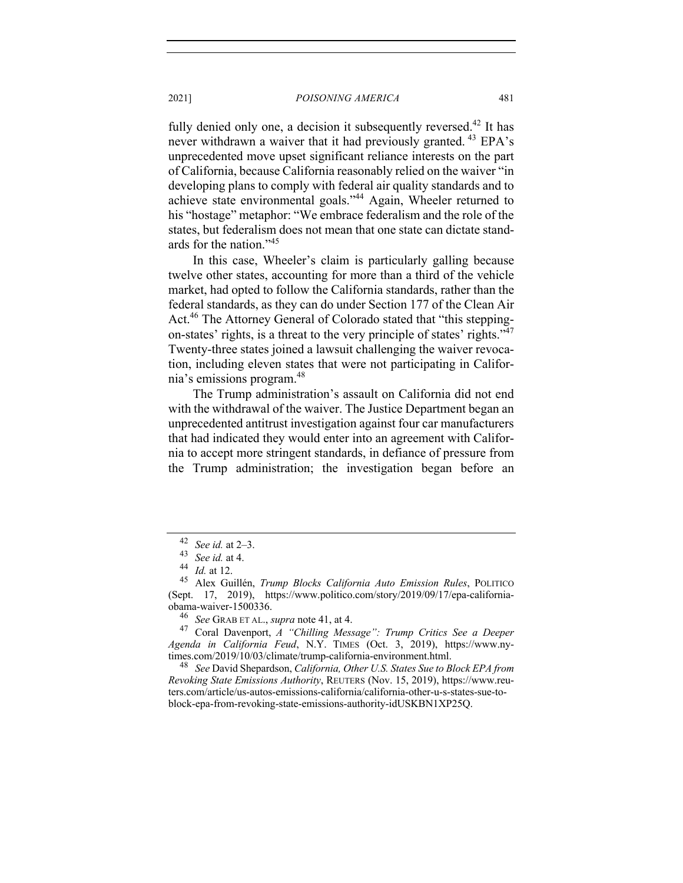fully denied only one, a decision it subsequently reversed.<sup>42</sup> It has never withdrawn a waiver that it had previously granted.<sup>43</sup> EPA's unprecedented move upset significant reliance interests on the part of California, because California reasonably relied on the waiver "in developing plans to comply with federal air quality standards and to achieve state environmental goals."44 Again, Wheeler returned to his "hostage" metaphor: "We embrace federalism and the role of the states, but federalism does not mean that one state can dictate standards for the nation."45

In this case, Wheeler's claim is particularly galling because twelve other states, accounting for more than a third of the vehicle market, had opted to follow the California standards, rather than the federal standards, as they can do under Section 177 of the Clean Air Act.<sup>46</sup> The Attorney General of Colorado stated that "this steppingon-states' rights, is a threat to the very principle of states' rights."<sup>47</sup> Twenty-three states joined a lawsuit challenging the waiver revocation, including eleven states that were not participating in California's emissions program.48

The Trump administration's assault on California did not end with the withdrawal of the waiver. The Justice Department began an unprecedented antitrust investigation against four car manufacturers that had indicated they would enter into an agreement with California to accept more stringent standards, in defiance of pressure from the Trump administration; the investigation began before an

<sup>46</sup> *See* GRAB ET AL., *supra* note 41, at 4.

<sup>48</sup> See David Shepardson, *California, Other U.S. States Sue to Block EPA from Revoking State Emissions Authority*, REUTERS (Nov. 15, 2019), https://www.reuters.com/article/us-autos-emissions-california/california-other-u-s-states-sue-toblock-epa-from-revoking-state-emissions-authority-idUSKBN1XP25Q.

 $^{42}$  *See id.* at 2–3.<br><sup>43</sup> *See id.* at 4

<sup>43</sup> *See id.* at 4.

 $\frac{44}{45}$  *Id.* at 12.

<sup>45</sup> Alex Guillén, *Trump Blocks California Auto Emission Rules*, POLITICO (Sept. 17, 2019), https://www.politico.com/story/2019/09/17/epa-california-

<sup>47</sup> Coral Davenport, *A "Chilling Message": Trump Critics See a Deeper Agenda in California Feud*, N.Y. TIMES (Oct. 3, 2019), https://www.ny-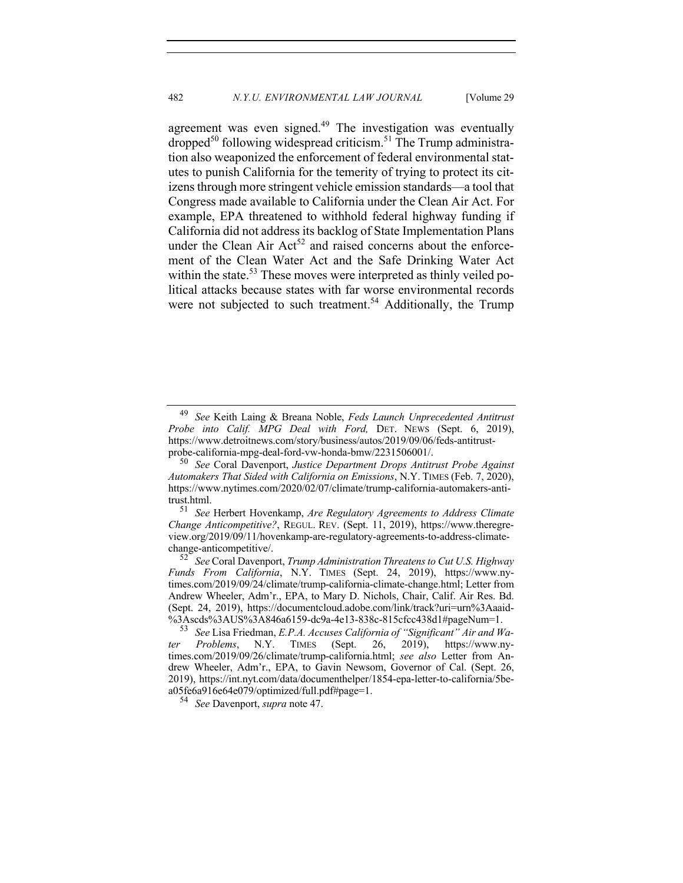agreement was even signed. $49$  The investigation was eventually  $\alpha$  dropped<sup>50</sup> following widespread criticism.<sup>51</sup> The Trump administration also weaponized the enforcement of federal environmental statutes to punish California for the temerity of trying to protect its citizens through more stringent vehicle emission standards—a tool that Congress made available to California under the Clean Air Act. For example, EPA threatened to withhold federal highway funding if California did not address its backlog of State Implementation Plans under the Clean Air  $Act^{52}$  and raised concerns about the enforcement of the Clean Water Act and the Safe Drinking Water Act within the state.<sup>53</sup> These moves were interpreted as thinly veiled political attacks because states with far worse environmental records were not subjected to such treatment.<sup>54</sup> Additionally, the Trump

<sup>51</sup> *See* Herbert Hovenkamp, *Are Regulatory Agreements to Address Climate Change Anticompetitive?*, REGUL. REV. (Sept. 11, 2019), https://www.theregreview.org/2019/09/11/hovenkamp-are-regulatory-agreements-to-address-climatechange-anticompetitive/.

<sup>52</sup> *See* Coral Davenport, *Trump Administration Threatens to Cut U.S. Highway Funds From California*, N.Y. TIMES (Sept. 24, 2019), https://www.nytimes.com/2019/09/24/climate/trump-california-climate-change.html; Letter from Andrew Wheeler, Adm'r., EPA, to Mary D. Nichols, Chair, Calif. Air Res. Bd. (Sept. 24, 2019), https://documentcloud.adobe.com/link/track?uri=urn%3Aaaid-

See Lisa Friedman, *E.P.A. Accuses California of "Significant" Air and Wa-Problems.* N.Y. TIMES (Sept. 26, 2019), https://www.ny*ter Problems*, N.Y. TIMES (Sept. 26, 2019), https://www.nytimes.com/2019/09/26/climate/trump-california.html; *see also* Letter from Andrew Wheeler, Adm'r., EPA, to Gavin Newsom, Governor of Cal. (Sept. 26, 2019), https://int.nyt.com/data/documenthelper/1854-epa-letter-to-california/5bea05fe6a916e64e079/optimized/full.pdf#page=1. 54 *See* Davenport, *supra* note 47.

<sup>49</sup> *See* Keith Laing & Breana Noble, *Feds Launch Unprecedented Antitrust Probe into Calif. MPG Deal with Ford,* DET. NEWS (Sept. 6, 2019), https://www.detroitnews.com/story/business/autos/2019/09/06/feds-antitrustprobe-california-mpg-deal-ford-vw-honda-bmw/2231506001/.

<sup>50</sup> *See* Coral Davenport, *Justice Department Drops Antitrust Probe Against Automakers That Sided with California on Emissions*, N.Y. TIMES (Feb. 7, 2020), https://www.nytimes.com/2020/02/07/climate/trump-california-automakers-antitrust.html.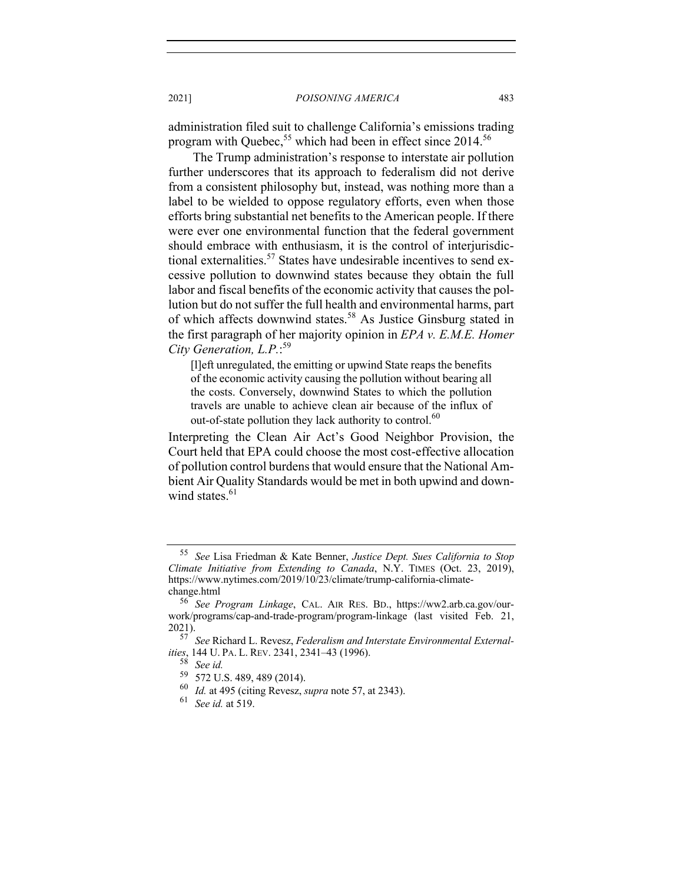administration filed suit to challenge California's emissions trading program with Quebec,  $55$  which had been in effect since 2014.<sup>56</sup>

The Trump administration's response to interstate air pollution further underscores that its approach to federalism did not derive from a consistent philosophy but, instead, was nothing more than a label to be wielded to oppose regulatory efforts, even when those efforts bring substantial net benefits to the American people. If there were ever one environmental function that the federal government should embrace with enthusiasm, it is the control of interjurisdictional externalities.<sup>57</sup> States have undesirable incentives to send excessive pollution to downwind states because they obtain the full labor and fiscal benefits of the economic activity that causes the pollution but do not suffer the full health and environmental harms, part of which affects downwind states.<sup>58</sup> As Justice Ginsburg stated in the first paragraph of her majority opinion in *EPA v. E.M.E. Homer City Generation, L.P.*: 59

[l]eft unregulated, the emitting or upwind State reaps the benefits of the economic activity causing the pollution without bearing all the costs. Conversely, downwind States to which the pollution travels are unable to achieve clean air because of the influx of out-of-state pollution they lack authority to control.<sup>60</sup>

Interpreting the Clean Air Act's Good Neighbor Provision, the Court held that EPA could choose the most cost-effective allocation of pollution control burdens that would ensure that the National Ambient Air Quality Standards would be met in both upwind and downwind states. $61$ 

<sup>55</sup> *See* Lisa Friedman & Kate Benner, *Justice Dept. Sues California to Stop Climate Initiative from Extending to Canada*, N.Y. TIMES (Oct. 23, 2019), https://www.nytimes.com/2019/10/23/climate/trump-california-climatechange.html

<sup>56</sup> *See Program Linkage*, CAL. AIR RES. BD., https://ww2.arb.ca.gov/ourwork/programs/cap-and-trade-program/program-linkage (last visited Feb. 21, 2021).

<sup>57</sup> *See* Richard L. Revesz, *Federalism and Interstate Environmental Externalities*, 144 U. PA. L. REV. 2341, 2341–43 (1996).

<sup>58</sup> *See id.*

 $^{59}$  572 U.S. 489, 489 (2014).<br> $^{60}$  *M* at 495 (citing Revess)

 $^{60}$  *Id.* at 495 (citing Revesz, *supra* note 57, at 2343).<br> $^{61}$  See id. at 519

<sup>61</sup> *See id.* at 519.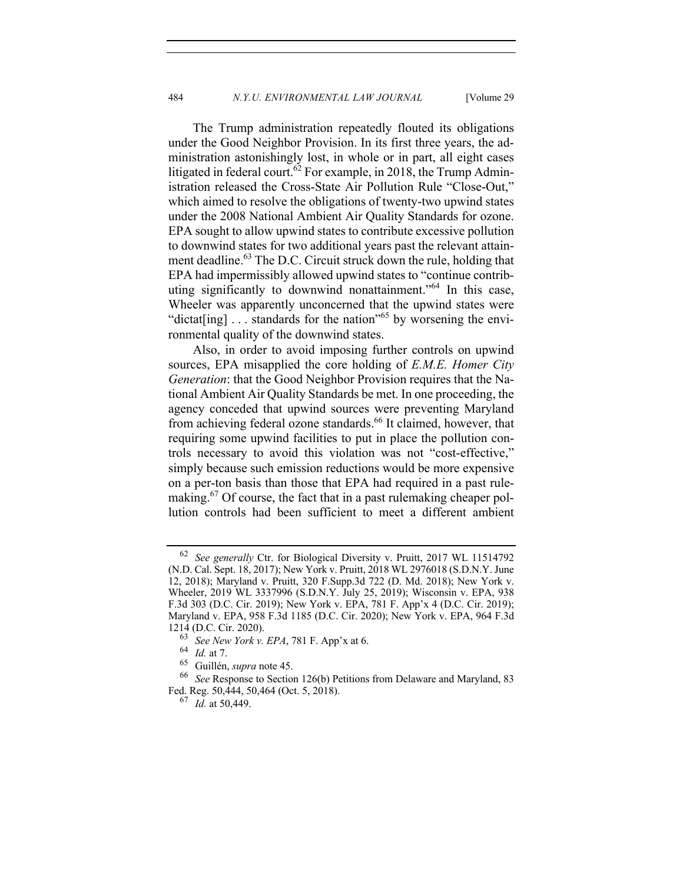The Trump administration repeatedly flouted its obligations under the Good Neighbor Provision. In its first three years, the administration astonishingly lost, in whole or in part, all eight cases litigated in federal court.<sup>62</sup> For example, in 2018, the Trump Administration released the Cross-State Air Pollution Rule "Close-Out," which aimed to resolve the obligations of twenty-two upwind states under the 2008 National Ambient Air Quality Standards for ozone. EPA sought to allow upwind states to contribute excessive pollution to downwind states for two additional years past the relevant attainment deadline.<sup>63</sup> The D.C. Circuit struck down the rule, holding that EPA had impermissibly allowed upwind states to "continue contributing significantly to downwind nonattainment."<sup>64</sup> In this case, Wheeler was apparently unconcerned that the upwind states were "dictat[ing]  $\ldots$  standards for the nation"<sup>65</sup> by worsening the environmental quality of the downwind states.

Also, in order to avoid imposing further controls on upwind sources, EPA misapplied the core holding of *E.M.E. Homer City Generation*: that the Good Neighbor Provision requires that the National Ambient Air Quality Standards be met. In one proceeding, the agency conceded that upwind sources were preventing Maryland from achieving federal ozone standards.<sup>66</sup> It claimed, however, that requiring some upwind facilities to put in place the pollution controls necessary to avoid this violation was not "cost-effective," simply because such emission reductions would be more expensive on a per-ton basis than those that EPA had required in a past rulemaking.<sup>67</sup> Of course, the fact that in a past rulemaking cheaper pollution controls had been sufficient to meet a different ambient

<sup>62</sup> *See generally* Ctr. for Biological Diversity v. Pruitt, 2017 WL 11514792 (N.D. Cal. Sept. 18, 2017); New York v. Pruitt, 2018 WL 2976018 (S.D.N.Y. June 12, 2018); Maryland v. Pruitt, 320 F.Supp.3d 722 (D. Md. 2018); New York v. Wheeler, 2019 WL 3337996 (S.D.N.Y. July 25, 2019); Wisconsin v. EPA, 938 F.3d 303 (D.C. Cir. 2019); New York v. EPA, 781 F. App'x 4 (D.C. Cir. 2019); Maryland v. EPA, 958 F.3d 1185 (D.C. Cir. 2020); New York v. EPA, 964 F.3d 1214 (D.C. Cir. 2020).

<sup>63</sup> *See New York v. EPA*, 781 F. App'x at 6.

 $\frac{64}{65}$  *Id.* at 7.<br> $\frac{65}{65}$  Guillén

<sup>&</sup>lt;sup>65</sup> Guillén, *supra* note 45.<br><sup>66</sup> *See* Response to Section 126(b) Petitions from Delaware and Maryland, 83 Fed. Reg. 50,444, 50,464 (Oct. 5, 2018).

<sup>67</sup> *Id.* at 50,449.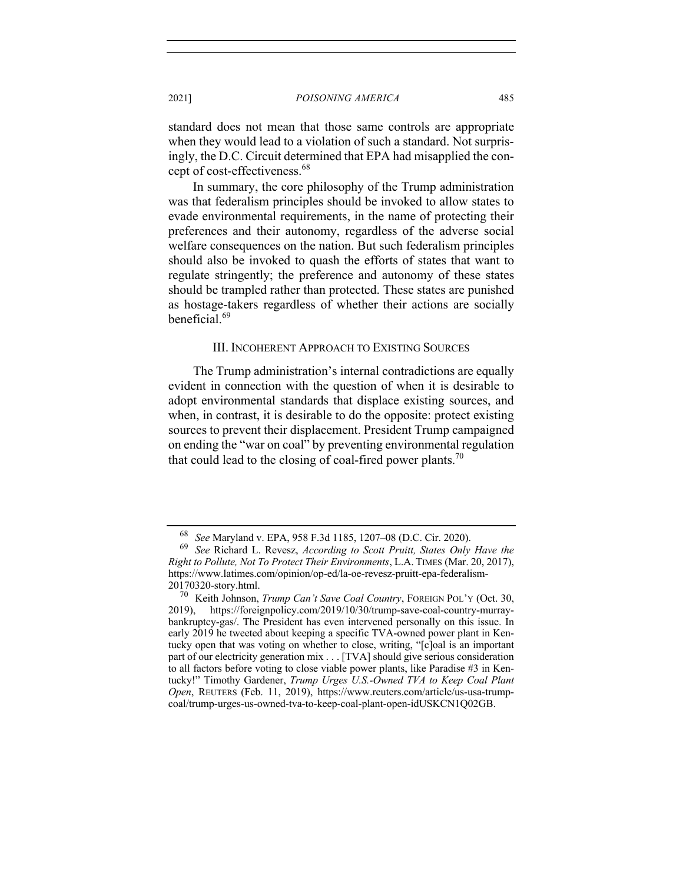standard does not mean that those same controls are appropriate when they would lead to a violation of such a standard. Not surprisingly, the D.C. Circuit determined that EPA had misapplied the concept of cost-effectiveness.<sup>68</sup>

In summary, the core philosophy of the Trump administration was that federalism principles should be invoked to allow states to evade environmental requirements, in the name of protecting their preferences and their autonomy, regardless of the adverse social welfare consequences on the nation. But such federalism principles should also be invoked to quash the efforts of states that want to regulate stringently; the preference and autonomy of these states should be trampled rather than protected. These states are punished as hostage-takers regardless of whether their actions are socially beneficial.<sup>69</sup>

## III. INCOHERENT APPROACH TO EXISTING SOURCES

The Trump administration's internal contradictions are equally evident in connection with the question of when it is desirable to adopt environmental standards that displace existing sources, and when, in contrast, it is desirable to do the opposite: protect existing sources to prevent their displacement. President Trump campaigned on ending the "war on coal" by preventing environmental regulation that could lead to the closing of coal-fired power plants.<sup>70</sup>

<sup>68</sup> *See* Maryland v. EPA, 958 F.3d 1185, 1207–08 (D.C. Cir. 2020).

<sup>69</sup> *See* Richard L. Revesz, *According to Scott Pruitt, States Only Have the Right to Pollute, Not To Protect Their Environments*, L.A. TIMES (Mar. 20, 2017), https://www.latimes.com/opinion/op-ed/la-oe-revesz-pruitt-epa-federalism- $^{20170320}$ -story.html.<br> $^{70}$  Keith Johnson

Keith Johnson, *Trump Can't Save Coal Country*, FOREIGN POL'Y (Oct. 30, 2019), https://foreignpolicy.com/2019/10/30/trump-save-coal-country-murraybankruptcy-gas/. The President has even intervened personally on this issue. In early 2019 he tweeted about keeping a specific TVA-owned power plant in Kentucky open that was voting on whether to close, writing, "[c]oal is an important part of our electricity generation mix . . . [TVA] should give serious consideration to all factors before voting to close viable power plants, like Paradise #3 in Kentucky!" Timothy Gardener, *Trump Urges U.S.-Owned TVA to Keep Coal Plant Open*, REUTERS (Feb. 11, 2019), https://www.reuters.com/article/us-usa-trumpcoal/trump-urges-us-owned-tva-to-keep-coal-plant-open-idUSKCN1Q02GB.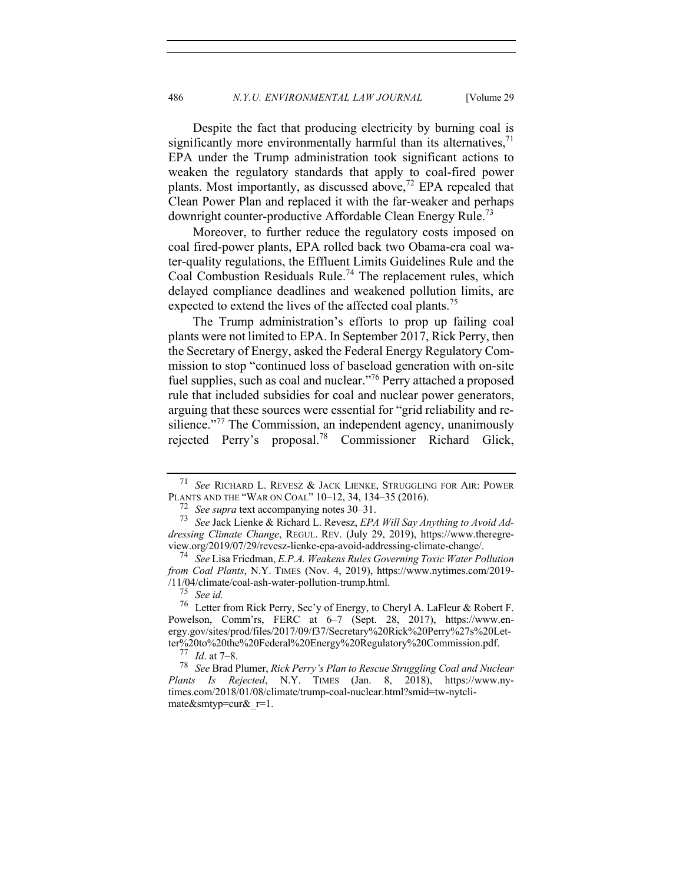Despite the fact that producing electricity by burning coal is significantly more environmentally harmful than its alternatives,  $71$ EPA under the Trump administration took significant actions to weaken the regulatory standards that apply to coal-fired power plants. Most importantly, as discussed above,<sup>72</sup> EPA repealed that Clean Power Plan and replaced it with the far-weaker and perhaps downright counter-productive Affordable Clean Energy Rule.<sup>73</sup>

Moreover, to further reduce the regulatory costs imposed on coal fired-power plants, EPA rolled back two Obama-era coal water-quality regulations, the Effluent Limits Guidelines Rule and the Coal Combustion Residuals Rule.<sup>74</sup> The replacement rules, which delayed compliance deadlines and weakened pollution limits, are expected to extend the lives of the affected coal plants.<sup>75</sup>

The Trump administration's efforts to prop up failing coal plants were not limited to EPA. In September 2017, Rick Perry, then the Secretary of Energy, asked the Federal Energy Regulatory Commission to stop "continued loss of baseload generation with on-site fuel supplies, such as coal and nuclear."76 Perry attached a proposed rule that included subsidies for coal and nuclear power generators, arguing that these sources were essential for "grid reliability and resilience."<sup>77</sup> The Commission, an independent agency, unanimously rejected Perry's proposal.78 Commissioner Richard Glick,

<sup>71</sup> *See* RICHARD L. REVESZ & JACK LIENKE, STRUGGLING FOR AIR: POWER PLANTS AND THE "WAR ON COAL" 10–12, 34, 134–35 (2016).

<sup>72</sup> *See supra* text accompanying notes 30–31. <sup>73</sup> *See* Jack Lienke & Richard L. Revesz, *EPA Will Say Anything to Avoid Addressing Climate Change*, REGUL. REV. (July 29, 2019), https://www.theregre-

<sup>&</sup>lt;sup>74</sup> See Lisa Friedman, E.P.A. Weakens Rules Governing Toxic Water Pollution *from Coal Plants*, N.Y. TIMES (Nov. 4, 2019), https://www.nytimes.com/2019- /11/04/climate/coal-ash-water-pollution-trump.html. <sup>75</sup> *See id.*

<sup>76</sup> Letter from Rick Perry, Sec'y of Energy, to Cheryl A. LaFleur & Robert F. Powelson, Comm'rs, FERC at 6–7 (Sept. 28, 2017), https://www.energy.gov/sites/prod/files/2017/09/f37/Secretary%20Rick%20Perry%27s%20Letter%20to%20the%20Federal%20Energy%20Regulatory%20Commission.pdf.<br><sup>77</sup> *Id.* at 7–8.<br><sup>78</sup> See Brad Plumer, *Rick Perry's Plan to Rescue Struggling Cool and Nuclear* 

<sup>78</sup> *See* Brad Plumer, *Rick Perry's Plan to Rescue Struggling Coal and Nuclear Plants Is Rejected*, N.Y. TIMES (Jan. 8, 2018), https://www.nytimes.com/2018/01/08/climate/trump-coal-nuclear.html?smid=tw-nytclimate&smtyp=cur&\_r=1.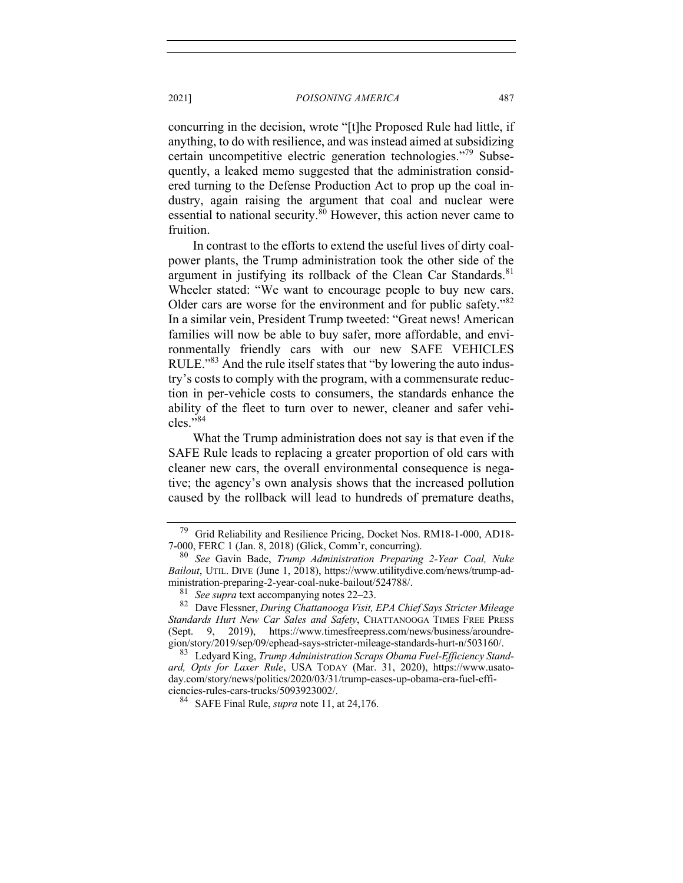concurring in the decision, wrote "[t]he Proposed Rule had little, if anything, to do with resilience, and was instead aimed at subsidizing certain uncompetitive electric generation technologies."<sup>79</sup> Subsequently, a leaked memo suggested that the administration considered turning to the Defense Production Act to prop up the coal industry, again raising the argument that coal and nuclear were essential to national security.<sup>80</sup> However, this action never came to fruition.

In contrast to the efforts to extend the useful lives of dirty coalpower plants, the Trump administration took the other side of the argument in justifying its rollback of the Clean Car Standards. $81$ Wheeler stated: "We want to encourage people to buy new cars. Older cars are worse for the environment and for public safety."<sup>82</sup> In a similar vein, President Trump tweeted: "Great news! American families will now be able to buy safer, more affordable, and environmentally friendly cars with our new SAFE VEHICLES RULE."<sup>83</sup> And the rule itself states that "by lowering the auto industry's costs to comply with the program, with a commensurate reduction in per-vehicle costs to consumers, the standards enhance the ability of the fleet to turn over to newer, cleaner and safer vehi $cles.$ "<sup>84</sup>

What the Trump administration does not say is that even if the SAFE Rule leads to replacing a greater proportion of old cars with cleaner new cars, the overall environmental consequence is negative; the agency's own analysis shows that the increased pollution caused by the rollback will lead to hundreds of premature deaths,

<sup>79</sup> Grid Reliability and Resilience Pricing, Docket Nos. RM18-1-000, AD18- 7-000, FERC 1 (Jan. 8, 2018) (Glick, Comm'r, concurring).

<sup>80</sup> *See* Gavin Bade, *Trump Administration Preparing 2-Year Coal, Nuke Bailout*, UTIL. DIVE (June 1, 2018), https://www.utilitydive.com/news/trump-administration-preparing-2-year-coal-nuke-bailout/524788/.<br><sup>81</sup> *See supra* text accompanying notes 22–23.<br><sup>82</sup> Dave Flessner, *During Chattanooga Visit, EPA Chief Says Stricter Mileage* 

*Standards Hurt New Car Sales and Safety*, CHATTANOOGA TIMES FREE PRESS (Sept. 9, 2019), https://www.timesfreepress.com/news/business/aroundre-gion/story/2019/sep/09/ephead-says-stricter-mileage-standards-hurt-n/503160/.

<sup>&</sup>lt;sup>83</sup> Ledyard King, *Trump Administration Scraps Obama Fuel-Efficiency Standard, Opts for Laxer Rule*, USA TODAY (Mar. 31, 2020), https://www.usatoday.com/story/news/politics/2020/03/31/trump-eases-up-obama-era-fuel-efficiencies-rules-cars-trucks/5093923002/. 84 SAFE Final Rule, *supra* note 11, at 24,176.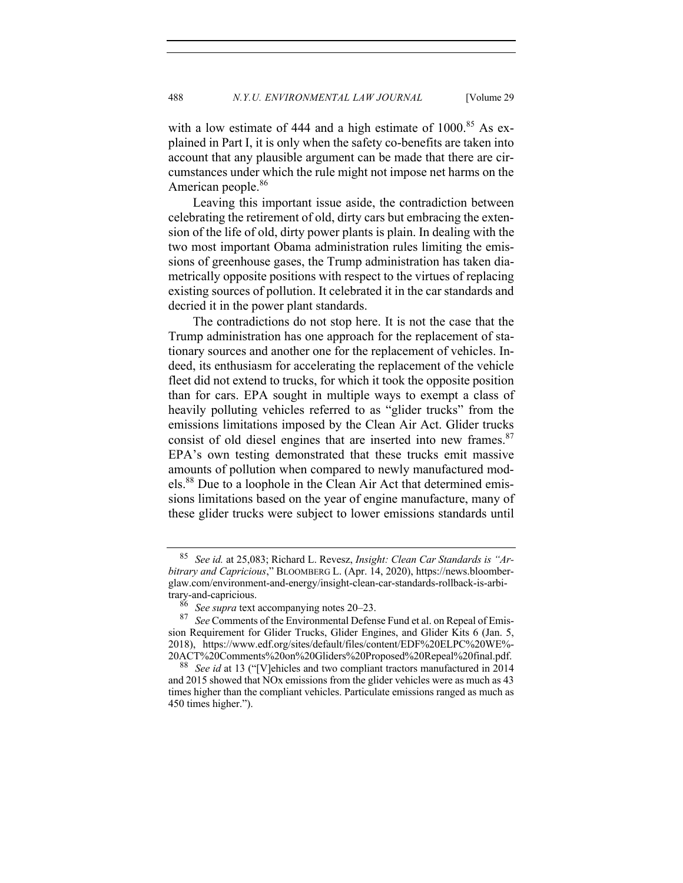with a low estimate of 444 and a high estimate of  $1000$ <sup>85</sup> As explained in Part I, it is only when the safety co-benefits are taken into account that any plausible argument can be made that there are circumstances under which the rule might not impose net harms on the American people.<sup>86</sup>

Leaving this important issue aside, the contradiction between celebrating the retirement of old, dirty cars but embracing the extension of the life of old, dirty power plants is plain. In dealing with the two most important Obama administration rules limiting the emissions of greenhouse gases, the Trump administration has taken diametrically opposite positions with respect to the virtues of replacing existing sources of pollution. It celebrated it in the car standards and decried it in the power plant standards.

The contradictions do not stop here. It is not the case that the Trump administration has one approach for the replacement of stationary sources and another one for the replacement of vehicles. Indeed, its enthusiasm for accelerating the replacement of the vehicle fleet did not extend to trucks, for which it took the opposite position than for cars. EPA sought in multiple ways to exempt a class of heavily polluting vehicles referred to as "glider trucks" from the emissions limitations imposed by the Clean Air Act. Glider trucks consist of old diesel engines that are inserted into new frames. $87$ EPA's own testing demonstrated that these trucks emit massive amounts of pollution when compared to newly manufactured models.<sup>88</sup> Due to a loophole in the Clean Air Act that determined emissions limitations based on the year of engine manufacture, many of these glider trucks were subject to lower emissions standards until

<sup>85</sup> *See id.* at 25,083; Richard L. Revesz, *Insight: Clean Car Standards is "Arbitrary and Capricious*," BLOOMBERG L. (Apr. 14, 2020), https://news.bloomberglaw.com/environment-and-energy/insight-clean-car-standards-rollback-is-arbitrary-and-capricious.

<sup>86</sup> *See supra* text accompanying notes 20–23. <sup>87</sup> *See* Comments of the Environmental Defense Fund et al. on Repeal of Emission Requirement for Glider Trucks, Glider Engines, and Glider Kits 6 (Jan. 5, 2018), https://www.edf.org/sites/default/files/content/EDF%20ELPC%20WE%-

<sup>20</sup>ACT%20Comments%20on%20Gliders%20Proposed%20Repeal%20final.pdf. <sup>88</sup> *See id* at 13 ("[V]ehicles and two compliant tractors manufactured in 2014 and 2015 showed that NOx emissions from the glider vehicles were as much as 43 times higher than the compliant vehicles. Particulate emissions ranged as much as 450 times higher.").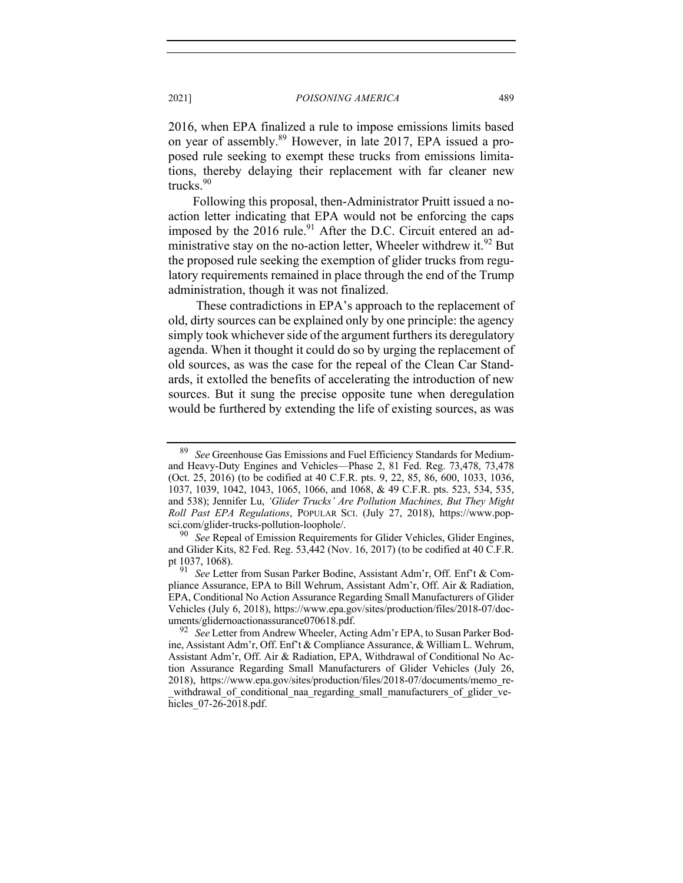2016, when EPA finalized a rule to impose emissions limits based on year of assembly.<sup>89</sup> However, in late 2017, EPA issued a proposed rule seeking to exempt these trucks from emissions limitations, thereby delaying their replacement with far cleaner new trucks.<sup>90</sup>

Following this proposal, then-Administrator Pruitt issued a noaction letter indicating that EPA would not be enforcing the caps imposed by the  $2016$  rule.<sup>91</sup> After the D.C. Circuit entered an administrative stay on the no-action letter, Wheeler withdrew it.<sup>92</sup> But the proposed rule seeking the exemption of glider trucks from regulatory requirements remained in place through the end of the Trump administration, though it was not finalized.

These contradictions in EPA's approach to the replacement of old, dirty sources can be explained only by one principle: the agency simply took whichever side of the argument furthers its deregulatory agenda. When it thought it could do so by urging the replacement of old sources, as was the case for the repeal of the Clean Car Standards, it extolled the benefits of accelerating the introduction of new sources. But it sung the precise opposite tune when deregulation would be furthered by extending the life of existing sources, as was

<sup>89</sup> *See* Greenhouse Gas Emissions and Fuel Efficiency Standards for Mediumand Heavy-Duty Engines and Vehicles—Phase 2, 81 Fed. Reg. 73,478, 73,478 (Oct. 25, 2016) (to be codified at 40 C.F.R. pts. 9, 22, 85, 86, 600, 1033, 1036, 1037, 1039, 1042, 1043, 1065, 1066, and 1068, & 49 C.F.R. pts. 523, 534, 535, and 538); Jennifer Lu, *'Glider Trucks' Are Pollution Machines, But They Might Roll Past EPA Regulations*, POPULAR SCI. (July 27, 2018), https://www.popsci.com/glider-trucks-pollution-loophole/. 90 *See* Repeal of Emission Requirements for Glider Vehicles, Glider Engines,

and Glider Kits, 82 Fed. Reg. 53,442 (Nov. 16, 2017) (to be codified at 40 C.F.R. pt 1037, 1068).

<sup>91</sup> *See* Letter from Susan Parker Bodine, Assistant Adm'r, Off. Enf't & Compliance Assurance, EPA to Bill Wehrum, Assistant Adm'r, Off. Air & Radiation, EPA, Conditional No Action Assurance Regarding Small Manufacturers of Glider Vehicles (July 6, 2018), https://www.epa.gov/sites/production/files/2018-07/documents/glidernoactionassurance070618.pdf. 92 *See* Letter from Andrew Wheeler, Acting Adm'r EPA, to Susan Parker Bod-

ine, Assistant Adm'r, Off. Enf't & Compliance Assurance, & William L. Wehrum, Assistant Adm'r, Off. Air & Radiation, EPA, Withdrawal of Conditional No Action Assurance Regarding Small Manufacturers of Glider Vehicles (July 26, 2018), https://www.epa.gov/sites/production/files/2018-07/documents/memo\_re withdrawal\_of\_conditional\_naa\_regarding\_small\_manufacturers\_of\_glider\_vehicles 07-26-2018.pdf.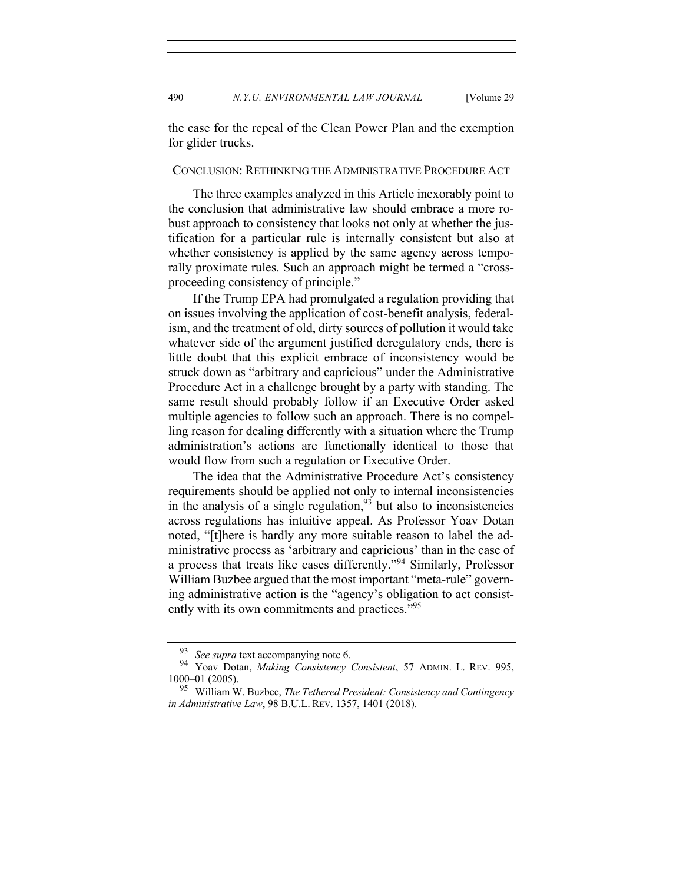490 *N.Y.U. ENVIRONMENTAL LAW JOURNAL* [Volume 29

the case for the repeal of the Clean Power Plan and the exemption for glider trucks.

## CONCLUSION: RETHINKING THE ADMINISTRATIVE PROCEDURE ACT

The three examples analyzed in this Article inexorably point to the conclusion that administrative law should embrace a more robust approach to consistency that looks not only at whether the justification for a particular rule is internally consistent but also at whether consistency is applied by the same agency across temporally proximate rules. Such an approach might be termed a "crossproceeding consistency of principle."

If the Trump EPA had promulgated a regulation providing that on issues involving the application of cost-benefit analysis, federalism, and the treatment of old, dirty sources of pollution it would take whatever side of the argument justified deregulatory ends, there is little doubt that this explicit embrace of inconsistency would be struck down as "arbitrary and capricious" under the Administrative Procedure Act in a challenge brought by a party with standing. The same result should probably follow if an Executive Order asked multiple agencies to follow such an approach. There is no compelling reason for dealing differently with a situation where the Trump administration's actions are functionally identical to those that would flow from such a regulation or Executive Order.

The idea that the Administrative Procedure Act's consistency requirements should be applied not only to internal inconsistencies in the analysis of a single regulation,  $93$  but also to inconsistencies across regulations has intuitive appeal. As Professor Yoav Dotan noted, "[t]here is hardly any more suitable reason to label the administrative process as 'arbitrary and capricious' than in the case of a process that treats like cases differently."<sup>94</sup> Similarly, Professor William Buzbee argued that the most important "meta-rule" governing administrative action is the "agency's obligation to act consistently with its own commitments and practices."<sup>95</sup>

<sup>93</sup> *See supra* text accompanying note 6. <sup>94</sup> Yoav Dotan, *Making Consistency Consistent*, 57 ADMIN. L. REV. 995, 1000–01 (2005).

<sup>95</sup> William W. Buzbee, *The Tethered President: Consistency and Contingency in Administrative Law*, 98 B.U.L. REV. 1357, 1401 (2018).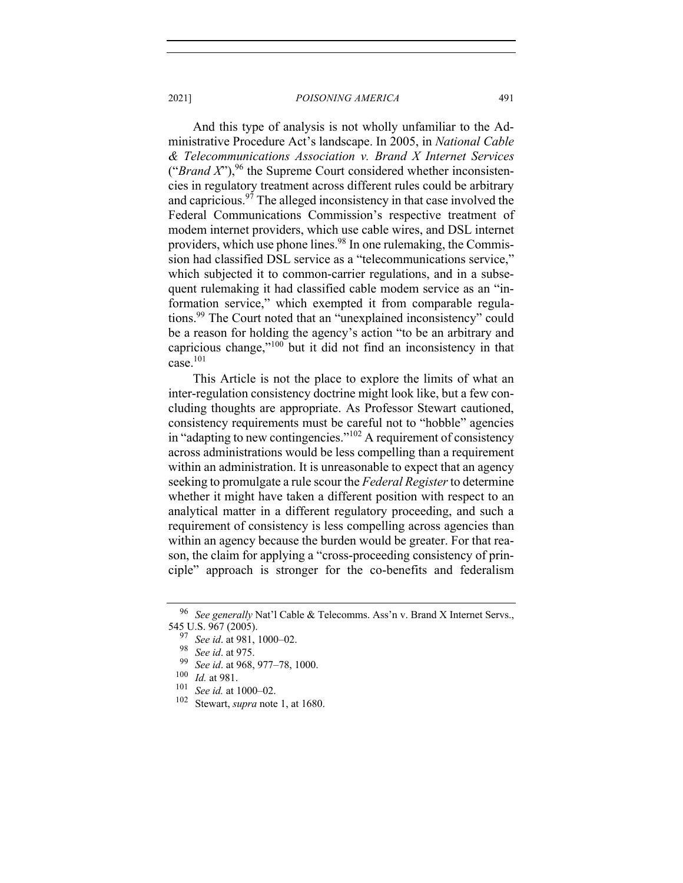And this type of analysis is not wholly unfamiliar to the Administrative Procedure Act's landscape. In 2005, in *National Cable & Telecommunications Association v. Brand X Internet Services* ("*Brand X*"), <sup>96</sup> the Supreme Court considered whether inconsistencies in regulatory treatment across different rules could be arbitrary and capricious.<sup>97</sup> The alleged inconsistency in that case involved the Federal Communications Commission's respective treatment of modem internet providers, which use cable wires, and DSL internet providers, which use phone lines.<sup>98</sup> In one rulemaking, the Commission had classified DSL service as a "telecommunications service," which subjected it to common-carrier regulations, and in a subsequent rulemaking it had classified cable modem service as an "information service," which exempted it from comparable regulations.<sup>99</sup> The Court noted that an "unexplained inconsistency" could be a reason for holding the agency's action "to be an arbitrary and capricious change,"100 but it did not find an inconsistency in that  $case.$ <sup>101</sup>

This Article is not the place to explore the limits of what an inter-regulation consistency doctrine might look like, but a few concluding thoughts are appropriate. As Professor Stewart cautioned, consistency requirements must be careful not to "hobble" agencies in "adapting to new contingencies."<sup>102</sup> A requirement of consistency across administrations would be less compelling than a requirement within an administration. It is unreasonable to expect that an agency seeking to promulgate a rule scour the *Federal Register*to determine whether it might have taken a different position with respect to an analytical matter in a different regulatory proceeding, and such a requirement of consistency is less compelling across agencies than within an agency because the burden would be greater. For that reason, the claim for applying a "cross-proceeding consistency of principle" approach is stronger for the co-benefits and federalism

<sup>96</sup> *See generally* Nat'l Cable & Telecomms. Ass'n v. Brand X Internet Servs., 545 U.S. 967 (2005).

<sup>97</sup> *See id*. at 981, 1000–02.

<sup>98</sup> *See id*. at 975.

<sup>&</sup>lt;sup>99</sup> *See id.* at 968, 977–78, 1000.<br><sup>100</sup> *Id.* at 981

 $\frac{100}{101}$  *Id.* at 981.

 $\frac{101}{102}$  *See id.* at 1000–02.

Stewart, *supra* note 1, at 1680.